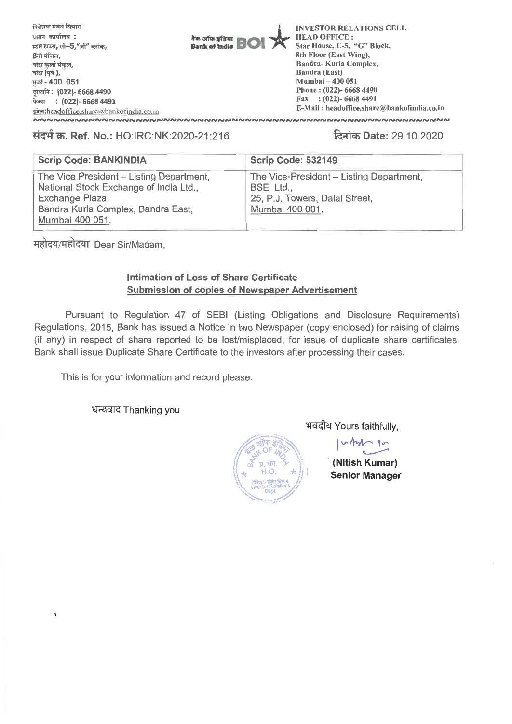

## **1,171-i-W. Ref. No.:** HO:IRC:NK:2020-21:216 **RTIW Date:** 29.10.2020

| <b>Scrip Code: BANKINDIA</b>                                                                                                                                   | <b>Scrip Code: 532149</b>                                                                                  |
|----------------------------------------------------------------------------------------------------------------------------------------------------------------|------------------------------------------------------------------------------------------------------------|
| The Vice President – Listing Department,<br>National Stock Exchange of India Ltd.,<br>Exchange Plaza,<br>Bandra Kurla Complex, Bandra East,<br>Mumbai 400 051. | The Vice-President - Listing Department,<br>BSE Ltd.,<br>25, P.J. Towers, Dalal Street,<br>Mumbai 400 001. |
|                                                                                                                                                                |                                                                                                            |

महोदय/महोदया Dear Sir/Madam,

## **Intimation of Loss of Share Certificate Submission of copies of Newspaper Advertisement**

Pursuant to Regulation 47 of SEBI (Listing Obligations and Disclosure Requirements) Regulations, 2015, Bank has issued a Notice in two Newspaper (copy enclosed) for raising of claims (if any) in respect of share reported to be lost/misplaced, for issue of duplicate share certificates. Bank shall issue Duplicate Share Certificate to the investors after processing their cases.

This is for your information and record please.

धन्यवाद Thanking you



भवदीय Yours faithfully,

 $\sim$  1 $\sim$ 

**(Nitish Kumar) Senior Manager**